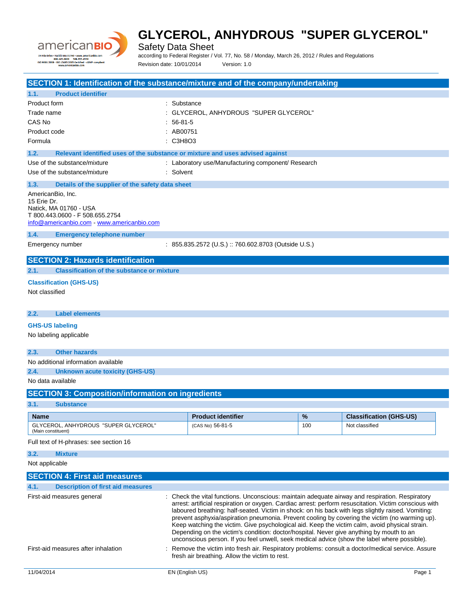

Safety Data Sheet

according to Federal Register / Vol. 77, No. 58 / Monday, March 26, 2012 / Rules and Regulations Revision date: 10/01/2014 Version: 1.0

**SECTION 1: Identification of the substance/mixture and of the company/undertaking 1.1. Product identifier** Product form : Substance Trade name  $\qquad \qquad : \qquad \qquad$  GLYCEROL, ANHYDROUS "SUPER GLYCEROL" CAS No : 56-81-5 Product code : AB00751 Formula : C3H8O3 **1.2. Relevant identified uses of the substance or mixture and uses advised against** Use of the substance/mixture  $\cdot$  Laboratory use/Manufacturing component/ Research Use of the substance/mixture : Solvent **1.3. Details of the supplier of the safety data sheet** AmericanBio, Inc. 15 Erie Dr. Natick, MA 01760 - USA T 800.443.0600 - F 508.655.2754 [info@americanbio.com](mailto:info@americanbio.com) - <www.americanbio.com> **1.4. Emergency telephone number** Emergency number : 855.835.2572 (U.S.) :: 760.602.8703 (Outside U.S.) **SECTION 2: Hazards identification 2.1. Classification of the substance or mixture Classification (GHS-US)** Not classified **2.2. Label elements GHS-US labeling** No labeling applicable **2.3. Other hazards** No additional information available **2.4. Unknown acute toxicity (GHS-US)** No data available **SECTION 3: Composition/information on ingredients 3.1. Substance Name Product identifier % Classification (GHS-US)** GLYCEROL, ANHYDROUS "SUPER GLYCEROL" (Main constituent)  $(CAS No)$  56-81-5 100  $\blacksquare$  100 Not classified Full text of H-phrases: see section 16 **3.2. Mixture** Not applicable **SECTION 4: First aid measures 4.1. Description of first aid measures** First-aid measures general **interpretatal interview** : Check the vital functions. Unconscious: maintain adequate airway and respiration. Respiratory arrest: artificial respiration or oxygen. Cardiac arrest: perform resuscitation. Victim conscious with laboured breathing: half-seated. Victim in shock: on his back with legs slightly raised. Vomiting: prevent asphyxia/aspiration pneumonia. Prevent cooling by covering the victim (no warming up). Keep watching the victim. Give psychological aid. Keep the victim calm, avoid physical strain. Depending on the victim's condition: doctor/hospital. Never give anything by mouth to an unconscious person. If you feel unwell, seek medical advice (show the label where possible). First-aid measures after inhalation : Remove the victim into fresh air. Respiratory problems: consult a doctor/medical service. Assure fresh air breathing. Allow the victim to rest.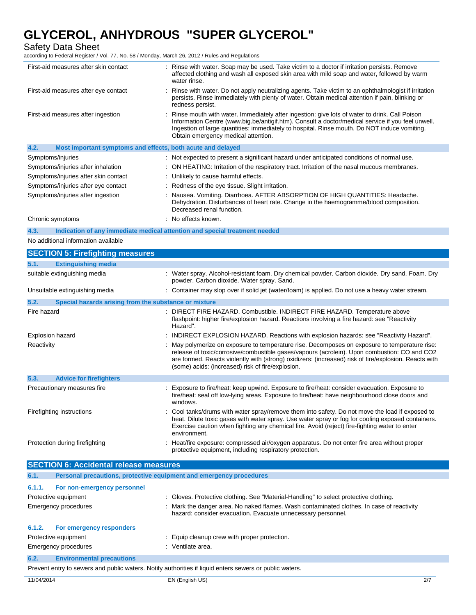Safety Data Sheet

according to Federal Register / Vol. 77, No. 58 / Monday, March 26, 2012 / Rules and Regulations

|                           | First-aid measures after skin contact                       | : Rinse with water. Soap may be used. Take victim to a doctor if irritation persists. Remove<br>affected clothing and wash all exposed skin area with mild soap and water, followed by warm<br>water rinse.                                                                                                                                               |  |
|---------------------------|-------------------------------------------------------------|-----------------------------------------------------------------------------------------------------------------------------------------------------------------------------------------------------------------------------------------------------------------------------------------------------------------------------------------------------------|--|
|                           | First-aid measures after eye contact                        | : Rinse with water. Do not apply neutralizing agents. Take victim to an ophthalmologist if irritation<br>persists. Rinse immediately with plenty of water. Obtain medical attention if pain, blinking or<br>redness persist.                                                                                                                              |  |
|                           | First-aid measures after ingestion                          | Rinse mouth with water. Immediately after ingestion: give lots of water to drink. Call Poison<br>Information Centre (www.big.be/antigif.htm). Consult a doctor/medical service if you feel unwell.<br>Ingestion of large quantities: immediately to hospital. Rinse mouth. Do NOT induce vomiting.<br>Obtain emergency medical attention.                 |  |
| 4.2.                      | Most important symptoms and effects, both acute and delayed |                                                                                                                                                                                                                                                                                                                                                           |  |
|                           | Symptoms/injuries                                           | : Not expected to present a significant hazard under anticipated conditions of normal use.                                                                                                                                                                                                                                                                |  |
|                           | Symptoms/injuries after inhalation                          | : ON HEATING: Irritation of the respiratory tract. Irritation of the nasal mucous membranes.                                                                                                                                                                                                                                                              |  |
|                           | Symptoms/injuries after skin contact                        | : Unlikely to cause harmful effects.                                                                                                                                                                                                                                                                                                                      |  |
|                           | Symptoms/injuries after eye contact                         | : Redness of the eye tissue. Slight irritation.                                                                                                                                                                                                                                                                                                           |  |
|                           | Symptoms/injuries after ingestion                           | : Nausea. Vomiting. Diarrhoea. AFTER ABSORPTION OF HIGH QUANTITIES: Headache.<br>Dehydration. Disturbances of heart rate. Change in the haemogramme/blood composition.<br>Decreased renal function.                                                                                                                                                       |  |
|                           | Chronic symptoms                                            | : No effects known.                                                                                                                                                                                                                                                                                                                                       |  |
| 4.3.                      |                                                             | Indication of any immediate medical attention and special treatment needed                                                                                                                                                                                                                                                                                |  |
|                           | No additional information available                         |                                                                                                                                                                                                                                                                                                                                                           |  |
|                           | <b>SECTION 5: Firefighting measures</b>                     |                                                                                                                                                                                                                                                                                                                                                           |  |
| 5.1.                      | <b>Extinguishing media</b>                                  |                                                                                                                                                                                                                                                                                                                                                           |  |
|                           | suitable extinguishing media                                | : Water spray. Alcohol-resistant foam. Dry chemical powder. Carbon dioxide. Dry sand. Foam. Dry<br>powder. Carbon dioxide. Water spray. Sand.                                                                                                                                                                                                             |  |
|                           | Unsuitable extinguishing media                              | : Container may slop over if solid jet (water/foam) is applied. Do not use a heavy water stream.                                                                                                                                                                                                                                                          |  |
| 5.2.                      | Special hazards arising from the substance or mixture       |                                                                                                                                                                                                                                                                                                                                                           |  |
| Fire hazard               |                                                             | : DIRECT FIRE HAZARD. Combustible. INDIRECT FIRE HAZARD. Temperature above<br>flashpoint: higher fire/explosion hazard. Reactions involving a fire hazard: see "Reactivity<br>Hazard".                                                                                                                                                                    |  |
|                           | <b>Explosion hazard</b>                                     | INDIRECT EXPLOSION HAZARD. Reactions with explosion hazards: see "Reactivity Hazard".                                                                                                                                                                                                                                                                     |  |
| Reactivity                |                                                             | May polymerize on exposure to temperature rise. Decomposes on exposure to temperature rise:<br>release of toxic/corrosive/combustible gases/vapours (acrolein). Upon combustion: CO and CO2<br>are formed. Reacts violently with (strong) oxidizers: (increased) risk of fire/explosion. Reacts with<br>(some) acids: (increased) risk of fire/explosion. |  |
| 5.3.                      | <b>Advice for firefighters</b>                              |                                                                                                                                                                                                                                                                                                                                                           |  |
|                           | Precautionary measures fire                                 | Exposure to fire/heat: keep upwind. Exposure to fire/heat: consider evacuation. Exposure to<br>fire/heat: seal off low-lying areas. Exposure to fire/heat: have neighbourhood close doors and<br>windows.                                                                                                                                                 |  |
| Firefighting instructions |                                                             | : Cool tanks/drums with water spray/remove them into safety. Do not move the load if exposed to<br>heat. Dilute toxic gases with water spray. Use water spray or fog for cooling exposed containers.<br>Exercise caution when fighting any chemical fire. Avoid (reject) fire-fighting water to enter<br>environment.                                     |  |
|                           | Protection during firefighting                              | : Heat/fire exposure: compressed air/oxygen apparatus. Do not enter fire area without proper<br>protective equipment, including respiratory protection.                                                                                                                                                                                                   |  |
|                           | <b>SECTION 6: Accidental release measures</b>               |                                                                                                                                                                                                                                                                                                                                                           |  |
| 6.1.                      |                                                             | Personal precautions, protective equipment and emergency procedures                                                                                                                                                                                                                                                                                       |  |
| 6.1.1.                    | For non-emergency personnel                                 |                                                                                                                                                                                                                                                                                                                                                           |  |
| Protective equipment      |                                                             | : Gloves. Protective clothing. See "Material-Handling" to select protective clothing.                                                                                                                                                                                                                                                                     |  |
|                           | <b>Emergency procedures</b>                                 | : Mark the danger area. No naked flames. Wash contaminated clothes. In case of reactivity<br>hazard: consider evacuation. Evacuate unnecessary personnel.                                                                                                                                                                                                 |  |
| 6.1.2.                    | For emergency responders                                    |                                                                                                                                                                                                                                                                                                                                                           |  |

- Protective equipment : Equip cleanup crew with proper protection.
- Emergency procedures in the settlement of the Senate Senate area.

### **6.2. Environmental precautions**

Prevent entry to sewers and public waters. Notify authorities if liquid enters sewers or public waters.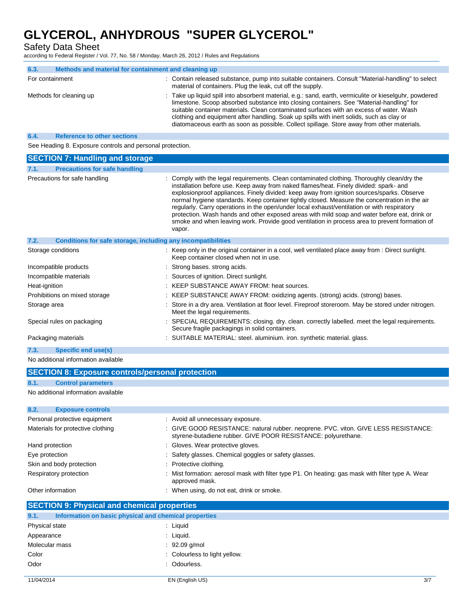Safety Data Sheet

according to Federal Register / Vol. 77, No. 58 / Monday, March 26, 2012 / Rules and Regulations

| 6.3.            | Methods and material for containment and cleaning up |                                                                                                                                                                                                                                                                                                                                                                                                                                                                                         |  |
|-----------------|------------------------------------------------------|-----------------------------------------------------------------------------------------------------------------------------------------------------------------------------------------------------------------------------------------------------------------------------------------------------------------------------------------------------------------------------------------------------------------------------------------------------------------------------------------|--|
| For containment |                                                      | : Contain released substance, pump into suitable containers. Consult "Material-handling" to select<br>material of containers. Plug the leak, cut off the supply.                                                                                                                                                                                                                                                                                                                        |  |
|                 | Methods for cleaning up                              | : Take up liquid spill into absorbent material, e.g.: sand, earth, vermiculite or kieselguhr, powdered<br>limestone. Scoop absorbed substance into closing containers. See "Material-handling" for<br>suitable container materials. Clean contaminated surfaces with an excess of water. Wash<br>clothing and equipment after handling. Soak up spills with inert solids, such as clay or<br>diatomaceous earth as soon as possible. Collect spillage. Store away from other materials. |  |
| 6.4             | <b>Reference to other sections</b>                   |                                                                                                                                                                                                                                                                                                                                                                                                                                                                                         |  |

See Heading 8. Exposure controls and personal protection.

| <b>SECTION 7: Handling and storage</b>                               |                                                                                                                                                                                                                                                                                                                                                                                                                                                                                                                                                                                                                                                                                               |  |  |
|----------------------------------------------------------------------|-----------------------------------------------------------------------------------------------------------------------------------------------------------------------------------------------------------------------------------------------------------------------------------------------------------------------------------------------------------------------------------------------------------------------------------------------------------------------------------------------------------------------------------------------------------------------------------------------------------------------------------------------------------------------------------------------|--|--|
| 7.1.<br><b>Precautions for safe handling</b>                         |                                                                                                                                                                                                                                                                                                                                                                                                                                                                                                                                                                                                                                                                                               |  |  |
| Precautions for safe handling                                        | : Comply with the legal requirements. Clean contaminated clothing. Thoroughly clean/dry the<br>installation before use. Keep away from naked flames/heat. Finely divided: spark- and<br>explosionproof appliances. Finely divided: keep away from ignition sources/sparks. Observe<br>normal hygiene standards. Keep container tightly closed. Measure the concentration in the air<br>regularly. Carry operations in the open/under local exhaust/ventilation or with respiratory<br>protection. Wash hands and other exposed areas with mild soap and water before eat, drink or<br>smoke and when leaving work. Provide good ventilation in process area to prevent formation of<br>vapor. |  |  |
| 7.2.<br>Conditions for safe storage, including any incompatibilities |                                                                                                                                                                                                                                                                                                                                                                                                                                                                                                                                                                                                                                                                                               |  |  |
| Storage conditions                                                   | : Keep only in the original container in a cool, well ventilated place away from : Direct sunlight.<br>Keep container closed when not in use.                                                                                                                                                                                                                                                                                                                                                                                                                                                                                                                                                 |  |  |
| Incompatible products                                                | : Strong bases, strong acids.                                                                                                                                                                                                                                                                                                                                                                                                                                                                                                                                                                                                                                                                 |  |  |
| Incompatible materials                                               | : Sources of ignition. Direct sunlight.                                                                                                                                                                                                                                                                                                                                                                                                                                                                                                                                                                                                                                                       |  |  |
| Heat-ignition                                                        | : KEEP SUBSTANCE AWAY FROM: heat sources.                                                                                                                                                                                                                                                                                                                                                                                                                                                                                                                                                                                                                                                     |  |  |
| Prohibitions on mixed storage                                        | : KEEP SUBSTANCE AWAY FROM: oxidizing agents. (strong) acids. (strong) bases.                                                                                                                                                                                                                                                                                                                                                                                                                                                                                                                                                                                                                 |  |  |
| Storage area                                                         | Store in a dry area. Ventilation at floor level. Fireproof storeroom. May be stored under nitrogen.<br>Meet the legal requirements.                                                                                                                                                                                                                                                                                                                                                                                                                                                                                                                                                           |  |  |
| Special rules on packaging                                           | SPECIAL REQUIREMENTS: closing. dry. clean. correctly labelled. meet the legal requirements.<br>Secure fragile packagings in solid containers.                                                                                                                                                                                                                                                                                                                                                                                                                                                                                                                                                 |  |  |
| Packaging materials                                                  | : SUITABLE MATERIAL: steel. aluminium. iron. synthetic material. glass.                                                                                                                                                                                                                                                                                                                                                                                                                                                                                                                                                                                                                       |  |  |
| 7.3.<br>Specific end use(s)                                          |                                                                                                                                                                                                                                                                                                                                                                                                                                                                                                                                                                                                                                                                                               |  |  |

No additional information available

| <b>SECTION 8: Exposure controls/personal protection</b> |                           |  |  |
|---------------------------------------------------------|---------------------------|--|--|
| 8.1.                                                    | <b>Control parameters</b> |  |  |
| No additional information available                     |                           |  |  |
|                                                         |                           |  |  |
| 8.2.                                                    | <b>Exposure controls</b>  |  |  |

| Personal protective equipment     | : Avoid all unnecessary exposure.                                                                                                                    |
|-----------------------------------|------------------------------------------------------------------------------------------------------------------------------------------------------|
| Materials for protective clothing | : GIVE GOOD RESISTANCE: natural rubber. neoprene. PVC. viton. GIVE LESS RESISTANCE:<br>styrene-butadiene rubber. GIVE POOR RESISTANCE: polyurethane. |
| Hand protection                   | : Gloves. Wear protective gloves.                                                                                                                    |
| Eye protection                    | : Safety glasses. Chemical goggles or safety glasses.                                                                                                |
| Skin and body protection          | : Protective clothing.                                                                                                                               |
| Respiratory protection            | : Mist formation: aerosol mask with filter type P1. On heating: gas mask with filter type A. Wear<br>approved mask.                                  |
| Other information                 | : When using, do not eat, drink or smoke.                                                                                                            |
|                                   |                                                                                                                                                      |

| <b>SECTION 9: Physical and chemical properties</b> |  |  |
|----------------------------------------------------|--|--|
|                                                    |  |  |

| 9.1.           | Information on basic physical and chemical properties |                               |
|----------------|-------------------------------------------------------|-------------------------------|
| Physical state |                                                       | Liquid                        |
| Appearance     |                                                       | · Liquid.                     |
| Molecular mass |                                                       | $: 92.09$ g/mol               |
| Color          |                                                       | : Colourless to light yellow. |
| Odor           |                                                       | : Odourless.                  |
|                |                                                       |                               |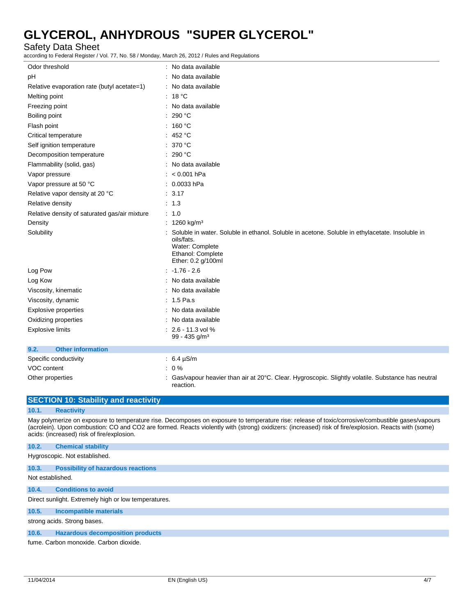Safety Data Sheet

according to Federal Register / Vol. 77, No. 58 / Monday, March 26, 2012 / Rules and Regulations

| Odor threshold                                | : No data available                                                                                                                                                         |
|-----------------------------------------------|-----------------------------------------------------------------------------------------------------------------------------------------------------------------------------|
| pH                                            | : No data available                                                                                                                                                         |
| Relative evaporation rate (butyl acetate=1)   | : No data available                                                                                                                                                         |
| Melting point                                 | : $18 °C$                                                                                                                                                                   |
| Freezing point                                | : No data available                                                                                                                                                         |
| Boiling point                                 | : 290 °C                                                                                                                                                                    |
| Flash point                                   | : 160 °C                                                                                                                                                                    |
| Critical temperature                          | : 452 $^{\circ}$ C                                                                                                                                                          |
| Self ignition temperature                     | : 370 °C                                                                                                                                                                    |
| Decomposition temperature                     | : 290 °C                                                                                                                                                                    |
| Flammability (solid, gas)                     | : No data available                                                                                                                                                         |
| Vapor pressure                                | : $< 0.001$ hPa                                                                                                                                                             |
| Vapor pressure at 50 °C                       | : 0.0033 hPa                                                                                                                                                                |
| Relative vapor density at 20 °C               | : 3.17                                                                                                                                                                      |
| Relative density                              | $\therefore$ 1.3                                                                                                                                                            |
| Relative density of saturated gas/air mixture | $\therefore$ 1.0                                                                                                                                                            |
| Density                                       | : 1260 kg/m <sup>3</sup>                                                                                                                                                    |
| Solubility                                    | Soluble in water. Soluble in ethanol. Soluble in acetone. Soluble in ethylacetate. Insoluble in<br>oils/fats.<br>Water: Complete<br>Ethanol: Complete<br>Ether: 0.2 g/100ml |
| Log Pow                                       | $: 1.76 - 2.6$                                                                                                                                                              |
| Log Kow                                       | : No data available                                                                                                                                                         |
| Viscosity, kinematic                          | : No data available                                                                                                                                                         |
| Viscosity, dynamic                            | $: 1.5$ Pa.s                                                                                                                                                                |
| <b>Explosive properties</b>                   | No data available                                                                                                                                                           |
| Oxidizing properties                          | No data available                                                                                                                                                           |
| <b>Explosive limits</b>                       | $: 2.6 - 11.3$ vol %<br>$99 - 435$ g/m <sup>3</sup>                                                                                                                         |
| <b>Other information</b><br>9.2.              |                                                                                                                                                                             |
| Specific conductivity                         | : $6.4 \,\mu S/m$                                                                                                                                                           |
| VOC content                                   | $: 0\%$                                                                                                                                                                     |
| Other properties                              | : Gas/vapour heavier than air at $20^{\circ}$ C. Clear. Hygroscopic. Slightly volatile. Substance has neutral<br>reaction.                                                  |

|                  | <b>SECTION 10: Stability and reactivity</b>                                                                                                                                                                                                                                                                                                            |
|------------------|--------------------------------------------------------------------------------------------------------------------------------------------------------------------------------------------------------------------------------------------------------------------------------------------------------------------------------------------------------|
| 10.1.            | <b>Reactivity</b>                                                                                                                                                                                                                                                                                                                                      |
|                  | May polymerize on exposure to temperature rise. Decomposes on exposure to temperature rise: release of toxic/corrosive/combustible gases/vapours<br>(acrolein). Upon combustion: CO and CO2 are formed. Reacts violently with (strong) oxidizers: (increased) risk of fire/explosion. Reacts with (some)<br>acids: (increased) risk of fire/explosion. |
| 10.2.            | <b>Chemical stability</b>                                                                                                                                                                                                                                                                                                                              |
|                  | Hygroscopic. Not established.                                                                                                                                                                                                                                                                                                                          |
| 10.3.            | <b>Possibility of hazardous reactions</b>                                                                                                                                                                                                                                                                                                              |
| Not established. |                                                                                                                                                                                                                                                                                                                                                        |
| 10.4.            | <b>Conditions to avoid</b>                                                                                                                                                                                                                                                                                                                             |
|                  | Direct sunlight. Extremely high or low temperatures.                                                                                                                                                                                                                                                                                                   |
| 10.5.            | <b>Incompatible materials</b>                                                                                                                                                                                                                                                                                                                          |
|                  | strong acids. Strong bases.                                                                                                                                                                                                                                                                                                                            |
| 10.6.            | <b>Hazardous decomposition products</b>                                                                                                                                                                                                                                                                                                                |

fume. Carbon monoxide. Carbon dioxide.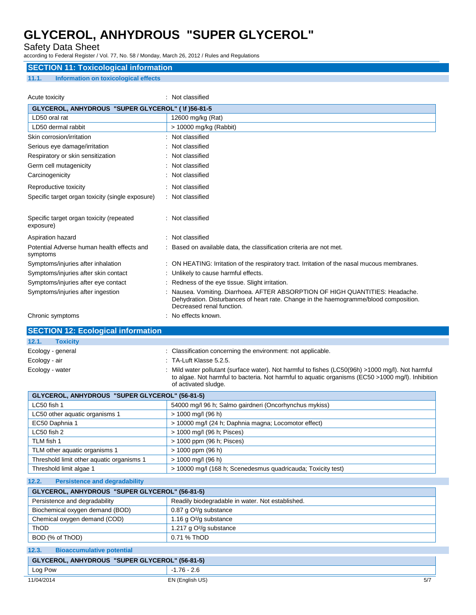Safety Data Sheet

according to Federal Register / Vol. 77, No. 58 / Monday, March 26, 2012 / Rules and Regulations

### **SECTION 11: Toxicological information**

### **11.1. Information on toxicological effects**

| Acute toxicity                                         |  | : Not classified                                                                                                                                                                                  |  |  |
|--------------------------------------------------------|--|---------------------------------------------------------------------------------------------------------------------------------------------------------------------------------------------------|--|--|
| GLYCEROL, ANHYDROUS "SUPER GLYCEROL" ( \f )56-81-5     |  |                                                                                                                                                                                                   |  |  |
| LD50 oral rat                                          |  | 12600 mg/kg (Rat)                                                                                                                                                                                 |  |  |
| LD50 dermal rabbit                                     |  | > 10000 mg/kg (Rabbit)                                                                                                                                                                            |  |  |
| Skin corrosion/irritation                              |  | Not classified                                                                                                                                                                                    |  |  |
| Serious eye damage/irritation                          |  | Not classified                                                                                                                                                                                    |  |  |
| Respiratory or skin sensitization                      |  | Not classified                                                                                                                                                                                    |  |  |
| Germ cell mutagenicity                                 |  | Not classified                                                                                                                                                                                    |  |  |
| Carcinogenicity                                        |  | Not classified                                                                                                                                                                                    |  |  |
| Reproductive toxicity                                  |  | Not classified                                                                                                                                                                                    |  |  |
| Specific target organ toxicity (single exposure)       |  | : Not classified                                                                                                                                                                                  |  |  |
| Specific target organ toxicity (repeated<br>exposure)  |  | Not classified                                                                                                                                                                                    |  |  |
| Aspiration hazard                                      |  | : Not classified                                                                                                                                                                                  |  |  |
| Potential Adverse human health effects and<br>symptoms |  | Based on available data, the classification criteria are not met.                                                                                                                                 |  |  |
| Symptoms/injuries after inhalation                     |  | ON HEATING: Irritation of the respiratory tract. Irritation of the nasal mucous membranes.                                                                                                        |  |  |
| Symptoms/injuries after skin contact                   |  | Unlikely to cause harmful effects.                                                                                                                                                                |  |  |
| Symptoms/injuries after eye contact                    |  | Redness of the eye tissue. Slight irritation.                                                                                                                                                     |  |  |
| Symptoms/injuries after ingestion                      |  | Nausea. Vomiting. Diarrhoea. AFTER ABSORPTION OF HIGH QUANTITIES: Headache.<br>Dehydration. Disturbances of heart rate. Change in the haemogramme/blood composition.<br>Decreased renal function. |  |  |
| Chronic symptoms                                       |  | No effects known.                                                                                                                                                                                 |  |  |

## **SECTION 12: Ecological information**

| 12.1.<br><b>Toxicity</b> |                                                                                                                                                                                                                                |
|--------------------------|--------------------------------------------------------------------------------------------------------------------------------------------------------------------------------------------------------------------------------|
| Ecology - general        | : Classification concerning the environment: not applicable.                                                                                                                                                                   |
| Ecology - air            | $\therefore$ TA-Luft Klasse 5.2.5.                                                                                                                                                                                             |
| Ecology - water          | : Mild water pollutant (surface water). Not harmful to fishes (LC50(96h) >1000 mg/l). Not harmful<br>to algae. Not harmful to bacteria. Not harmful to aquatic organisms (EC50 >1000 mg/l). Inhibition<br>of activated sludge. |

| GLYCEROL, ANHYDROUS "SUPER GLYCEROL" (56-81-5) |                                                              |  |  |
|------------------------------------------------|--------------------------------------------------------------|--|--|
| $LC50$ fish 1                                  | 54000 mg/l 96 h; Salmo gairdneri (Oncorhynchus mykiss)       |  |  |
| LC50 other aquatic organisms 1                 | $> 1000$ mg/l (96 h)                                         |  |  |
| EC50 Daphnia 1                                 | > 10000 mg/l (24 h; Daphnia magna; Locomotor effect)         |  |  |
| $LC50$ fish 2                                  | > 1000 mg/l (96 h; Pisces)                                   |  |  |
| TLM fish 1                                     | > 1000 ppm (96 h; Pisces)                                    |  |  |
| TLM other aquatic organisms 1                  | $> 1000$ ppm (96 h)                                          |  |  |
| Threshold limit other aquatic organisms 1      | $> 1000$ mg/l (96 h)                                         |  |  |
| Threshold limit algae 1                        | > 10000 mg/l (168 h; Scenedesmus quadricauda; Toxicity test) |  |  |

### **12.2. Persistence and degradability**

| GLYCEROL, ANHYDROUS "SUPER GLYCEROL" (56-81-5) |                                                  |  |
|------------------------------------------------|--------------------------------------------------|--|
| Persistence and degradability                  | Readily biodegradable in water. Not established. |  |
| Biochemical oxygen demand (BOD)                | 0.87 g $O^2$ /g substance                        |  |
| Chemical oxygen demand (COD)                   | 1.16 g $O^2$ /g substance                        |  |
| ThOD                                           | 1.217 g O <sup>2</sup> /g substance              |  |
| BOD (% of ThOD)                                | 0.71 % ThOD                                      |  |

| 12.3.                                          | <b>Bioaccumulative potential</b> |                 |     |
|------------------------------------------------|----------------------------------|-----------------|-----|
| GLYCEROL, ANHYDROUS "SUPER GLYCEROL" (56-81-5) |                                  |                 |     |
| Log Pow                                        |                                  | $-1.76 - 2.6$   |     |
| 11/04/2014                                     |                                  | EN (English US) | 5/7 |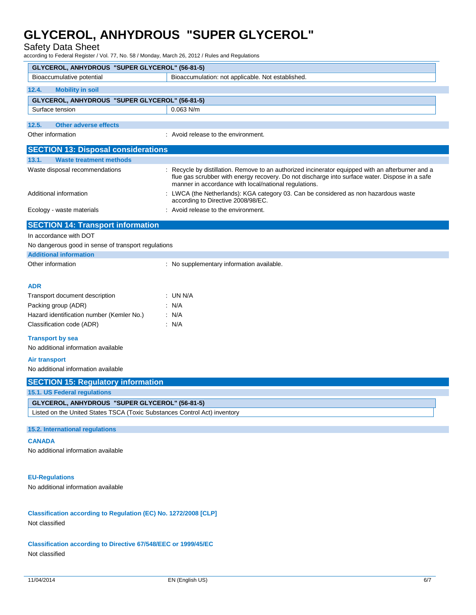Safety Data Sheet

according to Federal Register / Vol. 77, No. 58 / Monday, March 26, 2012 / Rules and Regulations

| GLYCEROL, ANHYDROUS "SUPER GLYCEROL" (56-81-5)                            |                                                                                                                                                         |  |  |  |
|---------------------------------------------------------------------------|---------------------------------------------------------------------------------------------------------------------------------------------------------|--|--|--|
| Bioaccumulative potential                                                 | Bioaccumulation: not applicable. Not established.                                                                                                       |  |  |  |
| 12.4.<br><b>Mobility in soil</b>                                          |                                                                                                                                                         |  |  |  |
| GLYCEROL, ANHYDROUS "SUPER GLYCEROL" (56-81-5)                            |                                                                                                                                                         |  |  |  |
| Surface tension                                                           | 0.063 N/m                                                                                                                                               |  |  |  |
| 12.5.<br><b>Other adverse effects</b>                                     |                                                                                                                                                         |  |  |  |
| Other information                                                         | : Avoid release to the environment.                                                                                                                     |  |  |  |
| <b>SECTION 13: Disposal considerations</b>                                |                                                                                                                                                         |  |  |  |
| 13.1.<br><b>Waste treatment methods</b>                                   |                                                                                                                                                         |  |  |  |
| Waste disposal recommendations                                            | Recycle by distillation. Remove to an authorized incinerator equipped with an afterburner and a                                                         |  |  |  |
|                                                                           | flue gas scrubber with energy recovery. Do not discharge into surface water. Dispose in a safe<br>manner in accordance with local/national regulations. |  |  |  |
| Additional information                                                    | LWCA (the Netherlands): KGA category 03. Can be considered as non hazardous waste<br>according to Directive 2008/98/EC.                                 |  |  |  |
| Ecology - waste materials                                                 | : Avoid release to the environment.                                                                                                                     |  |  |  |
| <b>SECTION 14: Transport information</b>                                  |                                                                                                                                                         |  |  |  |
| In accordance with DOT                                                    |                                                                                                                                                         |  |  |  |
| No dangerous good in sense of transport regulations                       |                                                                                                                                                         |  |  |  |
| <b>Additional information</b>                                             |                                                                                                                                                         |  |  |  |
| Other information                                                         | : No supplementary information available.                                                                                                               |  |  |  |
|                                                                           |                                                                                                                                                         |  |  |  |
| <b>ADR</b>                                                                |                                                                                                                                                         |  |  |  |
| Transport document description                                            | $:$ UN N/A                                                                                                                                              |  |  |  |
| Packing group (ADR)                                                       | : N/A                                                                                                                                                   |  |  |  |
| Hazard identification number (Kemler No.)                                 | : N/A                                                                                                                                                   |  |  |  |
| Classification code (ADR)                                                 | : N/A                                                                                                                                                   |  |  |  |
| <b>Transport by sea</b>                                                   |                                                                                                                                                         |  |  |  |
| No additional information available                                       |                                                                                                                                                         |  |  |  |
| <b>Air transport</b>                                                      |                                                                                                                                                         |  |  |  |
| No additional information available                                       |                                                                                                                                                         |  |  |  |
| <b>SECTION 15: Regulatory information</b>                                 |                                                                                                                                                         |  |  |  |
| <b>15.1. US Federal regulations</b>                                       |                                                                                                                                                         |  |  |  |
| GLYCEROL, ANHYDROUS "SUPER GLYCEROL" (56-81-5)                            |                                                                                                                                                         |  |  |  |
| Listed on the United States TSCA (Toxic Substances Control Act) inventory |                                                                                                                                                         |  |  |  |
| 15.2. International regulations                                           |                                                                                                                                                         |  |  |  |
| <b>CANADA</b>                                                             |                                                                                                                                                         |  |  |  |
| No additional information available                                       |                                                                                                                                                         |  |  |  |
|                                                                           |                                                                                                                                                         |  |  |  |
| <b>EU-Regulations</b>                                                     |                                                                                                                                                         |  |  |  |
| No additional information available                                       |                                                                                                                                                         |  |  |  |
|                                                                           |                                                                                                                                                         |  |  |  |
|                                                                           |                                                                                                                                                         |  |  |  |
| Classification according to Regulation (EC) No. 1272/2008 [CLP]           |                                                                                                                                                         |  |  |  |
| Not classified                                                            |                                                                                                                                                         |  |  |  |

**Classification according to Directive 67/548/EEC or 1999/45/EC** Not classified